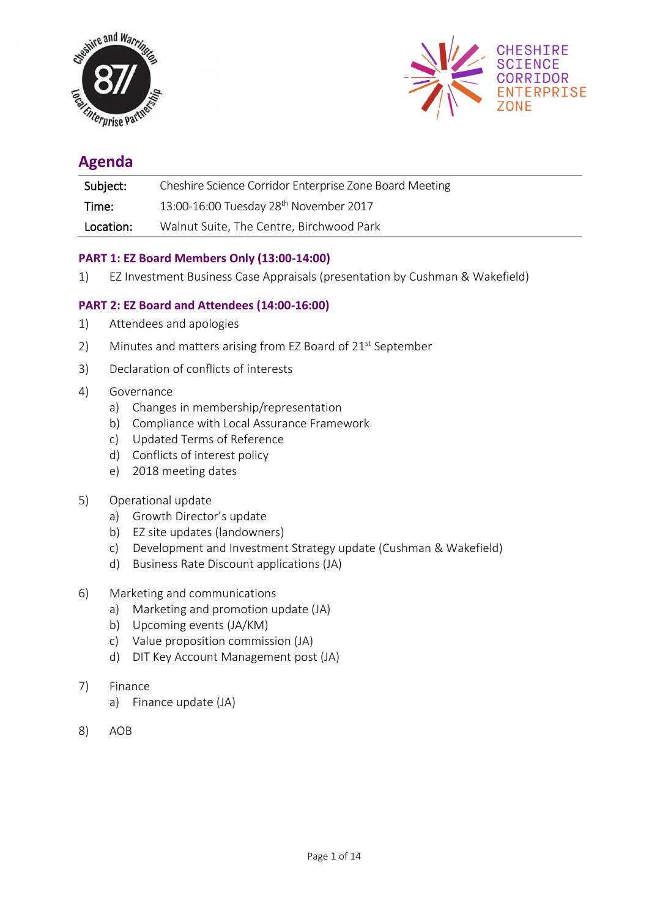



# **Agenda**

| Subject:  | Cheshire Science Corridor Enterprise Zone Board Meeting |
|-----------|---------------------------------------------------------|
| Time:     | 13:00-16:00 Tuesday 28 <sup>th</sup> November 2017      |
| Location: | Walnut Suite, The Centre, Birchwood Park                |

## **PART 1: EZ Board Members Only (13:00-14:00)**

1) EZ Investment Business Case Appraisals (presentation by Cushman & Wakefield)

## **PART 2: EZ Board and Attendees (14:00-16:00)**

- 1) Attendees and apologies
- 2) Minutes and matters arising from EZ Board of 21<sup>st</sup> September
- 3) Declaration of conflicts of interests
- 4) Governance
	- a) Changes in membership/representation
	- b) Compliance with Local Assurance Framework
	- c) Updated Terms of Reference
	- d) Conflicts of interest policy
	- e) 2018 meeting dates
- 5) Operational update
	- a) Growth Director's update
	- b) EZ site updates (landowners)
	- c) Development and Investment Strategy update (Cushman & Wakefield)
	- d) Business Rate Discount applications (JA)
- 6) Marketing and communications
	- a) Marketing and promotion update (JA)
	- b) Upcoming events (JA/KM)
	- c) Value proposition commission (JA)
	- d) DIT Key Account Management post (JA)
- 7) Finance
	- a) Finance update (JA)
- 8) AOB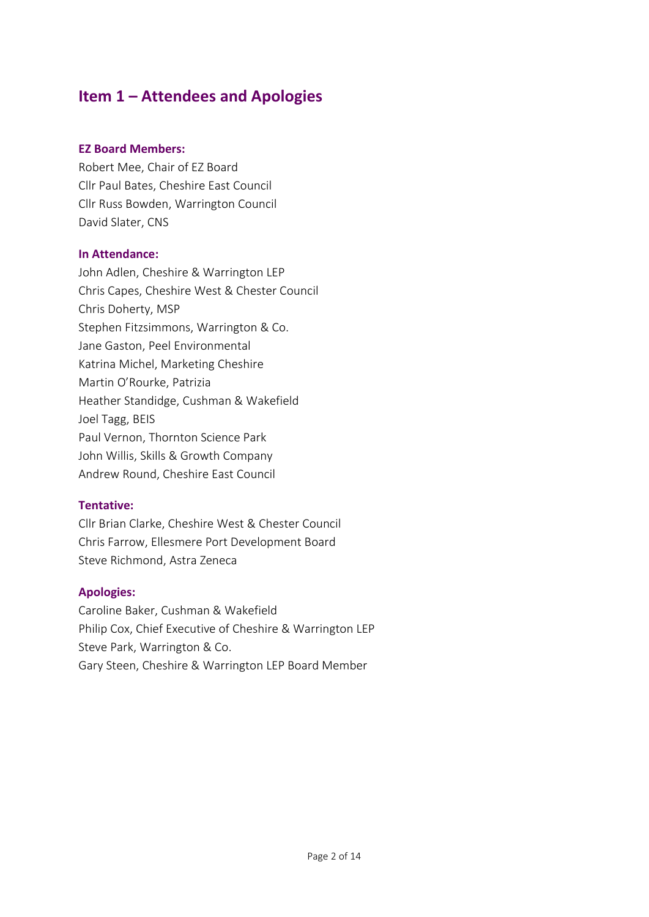# **Item 1 – Attendees and Apologies**

#### **EZ Board Members:**

Robert Mee, Chair of EZ Board Cllr Paul Bates, Cheshire East Council Cllr Russ Bowden, Warrington Council David Slater, CNS

#### **In Attendance:**

John Adlen, Cheshire & Warrington LEP Chris Capes, Cheshire West & Chester Council Chris Doherty, MSP Stephen Fitzsimmons, Warrington & Co. Jane Gaston, Peel Environmental Katrina Michel, Marketing Cheshire Martin O'Rourke, Patrizia Heather Standidge, Cushman & Wakefield Joel Tagg, BEIS Paul Vernon, Thornton Science Park John Willis, Skills & Growth Company Andrew Round, Cheshire East Council

## **Tentative:**

Cllr Brian Clarke, Cheshire West & Chester Council Chris Farrow, Ellesmere Port Development Board Steve Richmond, Astra Zeneca

## **Apologies:**

Caroline Baker, Cushman & Wakefield Philip Cox, Chief Executive of Cheshire & Warrington LEP Steve Park, Warrington & Co. Gary Steen, Cheshire & Warrington LEP Board Member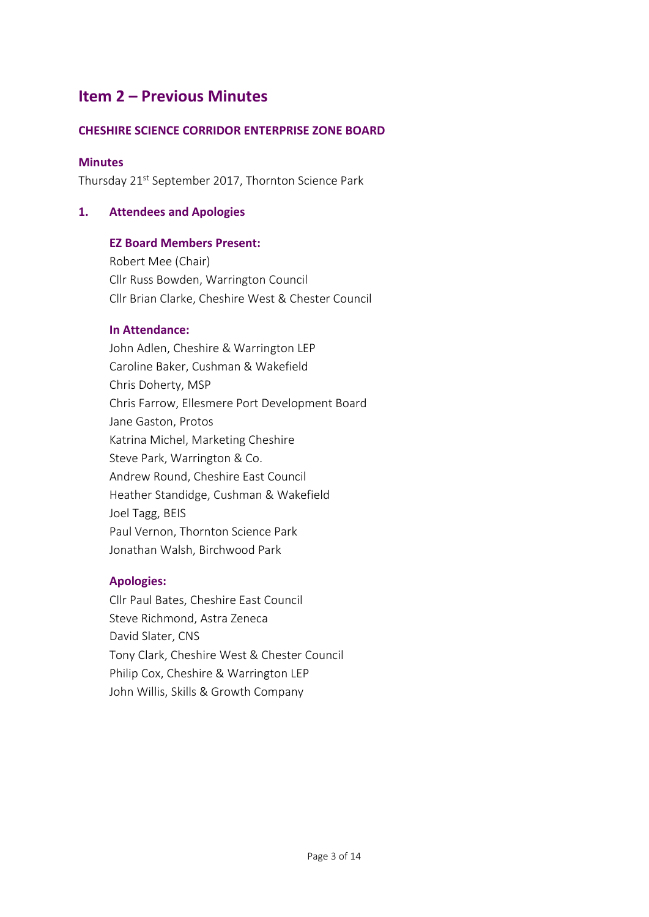# **Item 2 – Previous Minutes**

## **CHESHIRE SCIENCE CORRIDOR ENTERPRISE ZONE BOARD**

#### **Minutes**

Thursday 21<sup>st</sup> September 2017, Thornton Science Park

#### **1. Attendees and Apologies**

#### **EZ Board Members Present:**

Robert Mee (Chair) Cllr Russ Bowden, Warrington Council Cllr Brian Clarke, Cheshire West & Chester Council

#### **In Attendance:**

John Adlen, Cheshire & Warrington LEP Caroline Baker, Cushman & Wakefield Chris Doherty, MSP Chris Farrow, Ellesmere Port Development Board Jane Gaston, Protos Katrina Michel, Marketing Cheshire Steve Park, Warrington & Co. Andrew Round, Cheshire East Council Heather Standidge, Cushman & Wakefield Joel Tagg, BEIS Paul Vernon, Thornton Science Park Jonathan Walsh, Birchwood Park

#### **Apologies:**

Cllr Paul Bates, Cheshire East Council Steve Richmond, Astra Zeneca David Slater, CNS Tony Clark, Cheshire West & Chester Council Philip Cox, Cheshire & Warrington LEP John Willis, Skills & Growth Company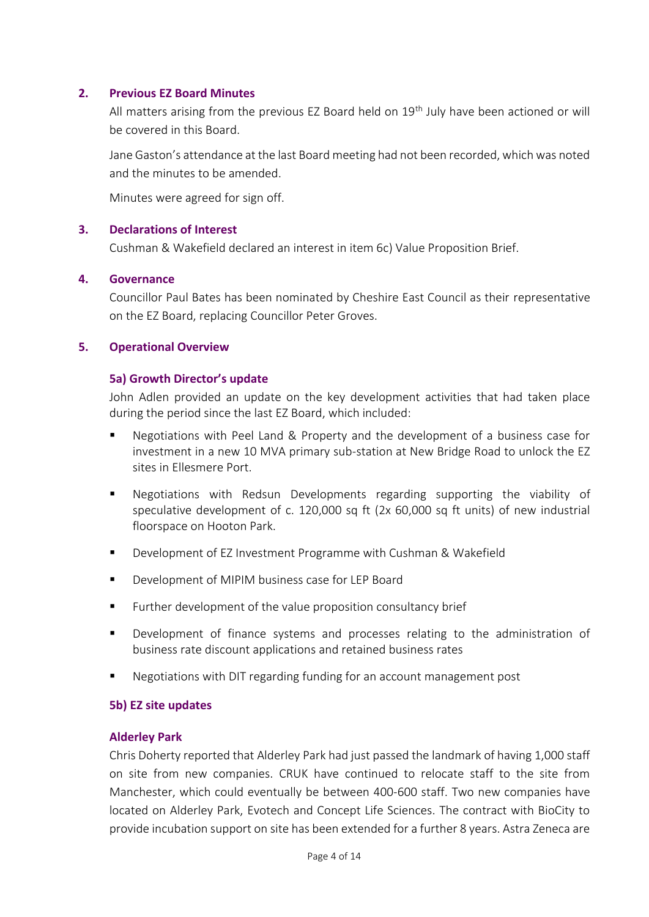#### **2. Previous EZ Board Minutes**

All matters arising from the previous EZ Board held on 19<sup>th</sup> July have been actioned or will be covered in this Board.

Jane Gaston's attendance at the last Board meeting had not been recorded, which was noted and the minutes to be amended.

Minutes were agreed for sign off.

#### **3. Declarations of Interest**

Cushman & Wakefield declared an interest in item 6c) Value Proposition Brief.

#### **4. Governance**

Councillor Paul Bates has been nominated by Cheshire East Council as their representative on the EZ Board, replacing Councillor Peter Groves.

#### **5. Operational Overview**

#### **5a) Growth Director's update**

John Adlen provided an update on the key development activities that had taken place during the period since the last EZ Board, which included:

- Negotiations with Peel Land & Property and the development of a business case for investment in a new 10 MVA primary sub-station at New Bridge Road to unlock the EZ sites in Ellesmere Port.
- Negotiations with Redsun Developments regarding supporting the viability of speculative development of c. 120,000 sq ft (2x 60,000 sq ft units) of new industrial floorspace on Hooton Park.
- Development of EZ Investment Programme with Cushman & Wakefield
- Development of MIPIM business case for LEP Board
- Further development of the value proposition consultancy brief
- Development of finance systems and processes relating to the administration of business rate discount applications and retained business rates
- Negotiations with DIT regarding funding for an account management post

#### **5b) EZ site updates**

#### **Alderley Park**

Chris Doherty reported that Alderley Park had just passed the landmark of having 1,000 staff on site from new companies. CRUK have continued to relocate staff to the site from Manchester, which could eventually be between 400-600 staff. Two new companies have located on Alderley Park, Evotech and Concept Life Sciences. The contract with BioCity to provide incubation support on site has been extended for a further 8 years. Astra Zeneca are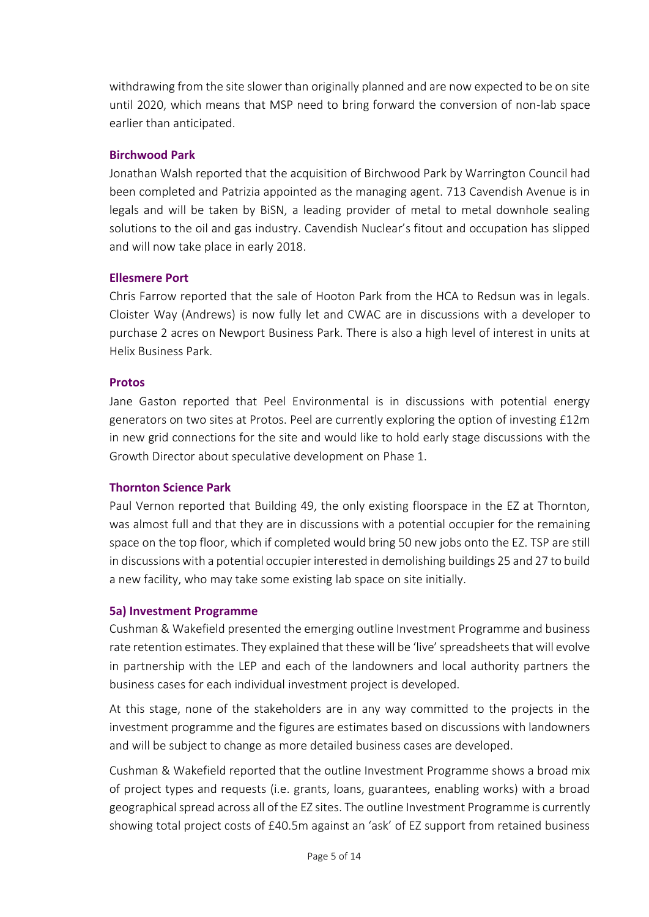withdrawing from the site slower than originally planned and are now expected to be on site until 2020, which means that MSP need to bring forward the conversion of non-lab space earlier than anticipated.

## **Birchwood Park**

Jonathan Walsh reported that the acquisition of Birchwood Park by Warrington Council had been completed and Patrizia appointed as the managing agent. 713 Cavendish Avenue is in legals and will be taken by BiSN, a leading provider of metal to metal downhole sealing solutions to the oil and gas industry. Cavendish Nuclear's fitout and occupation has slipped and will now take place in early 2018.

## **Ellesmere Port**

Chris Farrow reported that the sale of Hooton Park from the HCA to Redsun was in legals. Cloister Way (Andrews) is now fully let and CWAC are in discussions with a developer to purchase 2 acres on Newport Business Park. There is also a high level of interest in units at Helix Business Park.

## **Protos**

Jane Gaston reported that Peel Environmental is in discussions with potential energy generators on two sites at Protos. Peel are currently exploring the option of investing £12m in new grid connections for the site and would like to hold early stage discussions with the Growth Director about speculative development on Phase 1.

# **Thornton Science Park**

Paul Vernon reported that Building 49, the only existing floorspace in the EZ at Thornton, was almost full and that they are in discussions with a potential occupier for the remaining space on the top floor, which if completed would bring 50 new jobs onto the EZ. TSP are still in discussions with a potential occupier interested in demolishing buildings 25 and 27 to build a new facility, who may take some existing lab space on site initially.

## **5a) Investment Programme**

Cushman & Wakefield presented the emerging outline Investment Programme and business rate retention estimates. They explained that these will be 'live' spreadsheets that will evolve in partnership with the LEP and each of the landowners and local authority partners the business cases for each individual investment project is developed.

At this stage, none of the stakeholders are in any way committed to the projects in the investment programme and the figures are estimates based on discussions with landowners and will be subject to change as more detailed business cases are developed.

Cushman & Wakefield reported that the outline Investment Programme shows a broad mix of project types and requests (i.e. grants, loans, guarantees, enabling works) with a broad geographical spread across all of the EZ sites. The outline Investment Programme is currently showing total project costs of £40.5m against an 'ask' of EZ support from retained business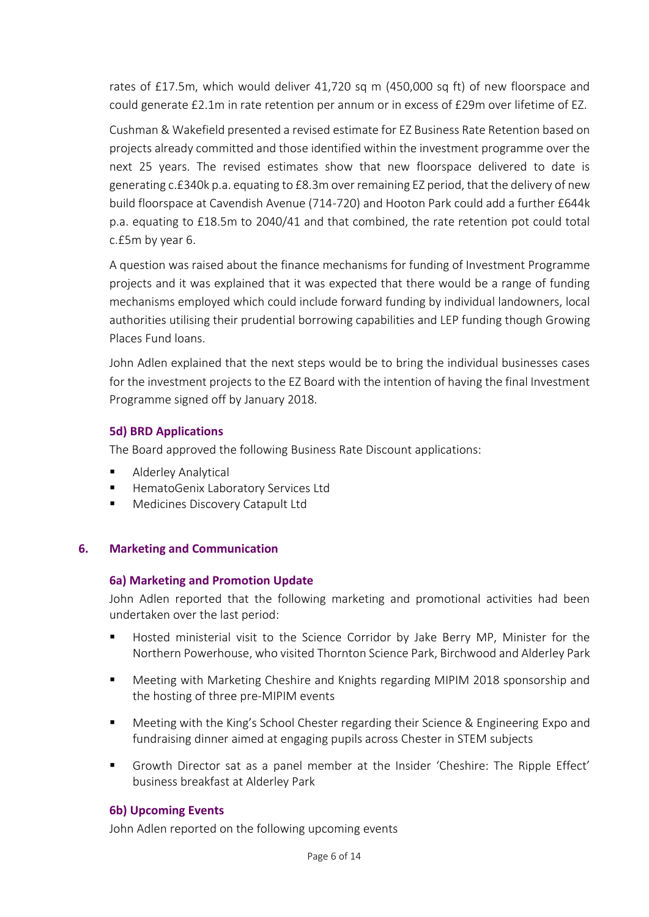rates of £17.5m, which would deliver 41,720 sq m (450,000 sq ft) of new floorspace and could generate £2.1m in rate retention per annum or in excess of £29m over lifetime of EZ.

Cushman & Wakefield presented a revised estimate for EZ Business Rate Retention based on projects already committed and those identified within the investment programme over the next 25 years. The revised estimates show that new floorspace delivered to date is generating c.£340k p.a. equating to £8.3m over remaining EZ period, that the delivery of new build floorspace at Cavendish Avenue (714-720) and Hooton Park could add a further £644k p.a. equating to £18.5m to 2040/41 and that combined, the rate retention pot could total c.£5m by year 6.

A question was raised about the finance mechanisms for funding of Investment Programme projects and it was explained that it was expected that there would be a range of funding mechanisms employed which could include forward funding by individual landowners, local authorities utilising their prudential borrowing capabilities and LEP funding though Growing Places Fund loans.

John Adlen explained that the next steps would be to bring the individual businesses cases for the investment projects to the EZ Board with the intention of having the final Investment Programme signed off by January 2018.

## **5d) BRD Applications**

The Board approved the following Business Rate Discount applications:

- Alderley Analytical
- HematoGenix Laboratory Services Ltd
- Medicines Discovery Catapult Ltd

## **6. Marketing and Communication**

#### **6a) Marketing and Promotion Update**

John Adlen reported that the following marketing and promotional activities had been undertaken over the last period:

- Hosted ministerial visit to the Science Corridor by Jake Berry MP, Minister for the Northern Powerhouse, who visited Thornton Science Park, Birchwood and Alderley Park
- Meeting with Marketing Cheshire and Knights regarding MIPIM 2018 sponsorship and the hosting of three pre-MIPIM events
- Meeting with the King's School Chester regarding their Science & Engineering Expo and fundraising dinner aimed at engaging pupils across Chester in STEM subjects
- Growth Director sat as a panel member at the Insider 'Cheshire: The Ripple Effect' business breakfast at Alderley Park

## **6b) Upcoming Events**

John Adlen reported on the following upcoming events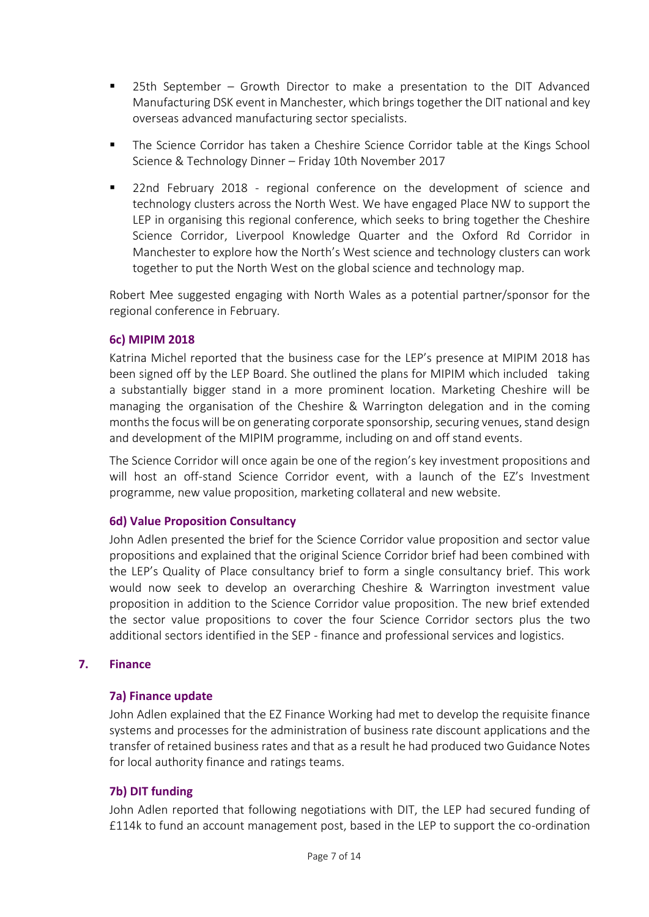- $25th$  September Growth Director to make a presentation to the DIT Advanced Manufacturing DSK event in Manchester, which brings together the DIT national and key overseas advanced manufacturing sector specialists.
- The Science Corridor has taken a Cheshire Science Corridor table at the Kings School Science & Technology Dinner – Friday 10th November 2017
- 22nd February 2018 regional conference on the development of science and technology clusters across the North West. We have engaged Place NW to support the LEP in organising this regional conference, which seeks to bring together the Cheshire Science Corridor, Liverpool Knowledge Quarter and the Oxford Rd Corridor in Manchester to explore how the North's West science and technology clusters can work together to put the North West on the global science and technology map.

Robert Mee suggested engaging with North Wales as a potential partner/sponsor for the regional conference in February.

## **6c) MIPIM 2018**

Katrina Michel reported that the business case for the LEP's presence at MIPIM 2018 has been signed off by the LEP Board. She outlined the plans for MIPIM which included taking a substantially bigger stand in a more prominent location. Marketing Cheshire will be managing the organisation of the Cheshire & Warrington delegation and in the coming months the focus will be on generating corporate sponsorship, securing venues, stand design and development of the MIPIM programme, including on and off stand events.

The Science Corridor will once again be one of the region's key investment propositions and will host an off-stand Science Corridor event, with a launch of the EZ's Investment programme, new value proposition, marketing collateral and new website.

## **6d) Value Proposition Consultancy**

John Adlen presented the brief for the Science Corridor value proposition and sector value propositions and explained that the original Science Corridor brief had been combined with the LEP's Quality of Place consultancy brief to form a single consultancy brief. This work would now seek to develop an overarching Cheshire & Warrington investment value proposition in addition to the Science Corridor value proposition. The new brief extended the sector value propositions to cover the four Science Corridor sectors plus the two additional sectors identified in the SEP - finance and professional services and logistics.

## **7. Finance**

## **7a) Finance update**

John Adlen explained that the EZ Finance Working had met to develop the requisite finance systems and processes for the administration of business rate discount applications and the transfer of retained business rates and that as a result he had produced two Guidance Notes for local authority finance and ratings teams.

# **7b) DIT funding**

John Adlen reported that following negotiations with DIT, the LEP had secured funding of £114k to fund an account management post, based in the LEP to support the co-ordination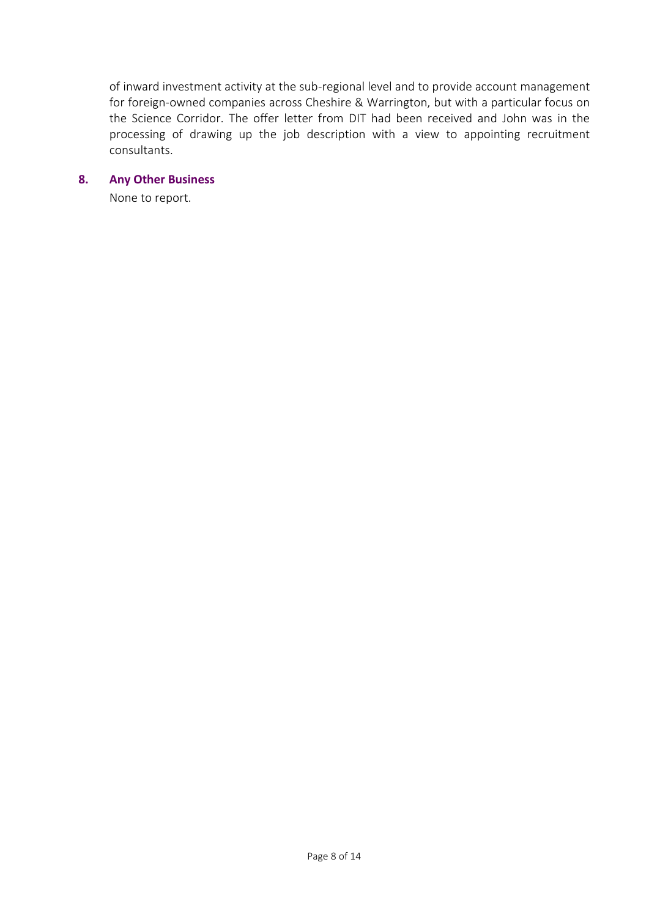of inward investment activity at the sub-regional level and to provide account management for foreign-owned companies across Cheshire & Warrington, but with a particular focus on the Science Corridor. The offer letter from DIT had been received and John was in the processing of drawing up the job description with a view to appointing recruitment consultants.

#### **8. Any Other Business**

None to report.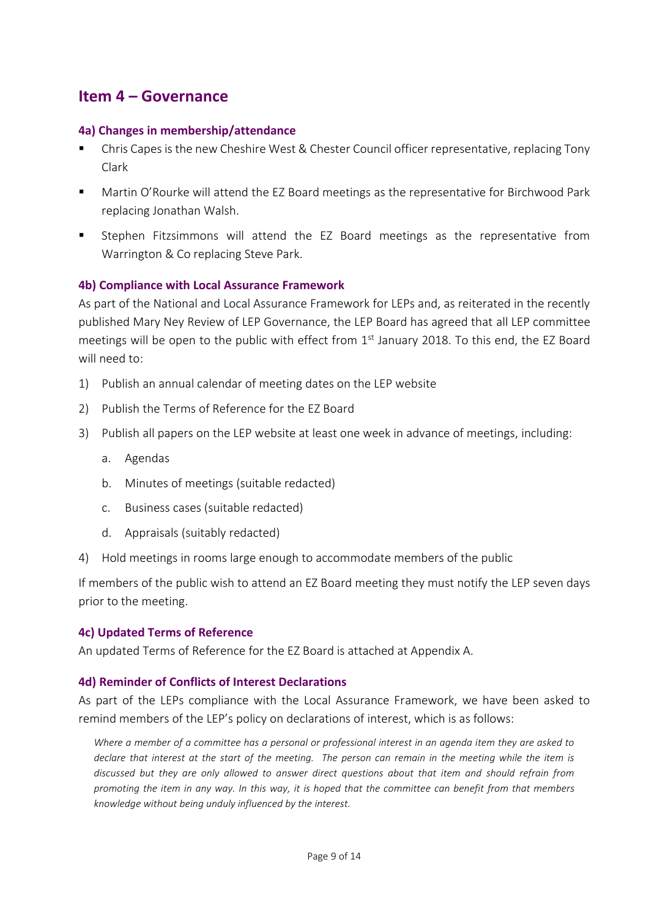# **Item 4 – Governance**

#### **4a) Changes in membership/attendance**

- Chris Capes is the new Cheshire West & Chester Council officer representative, replacing Tony Clark
- Martin O'Rourke will attend the EZ Board meetings as the representative for Birchwood Park replacing Jonathan Walsh.
- Stephen Fitzsimmons will attend the EZ Board meetings as the representative from Warrington & Co replacing Steve Park.

#### **4b) Compliance with Local Assurance Framework**

As part of the National and Local Assurance Framework for LEPs and, as reiterated in the recently published Mary Ney Review of LEP Governance, the LEP Board has agreed that all LEP committee meetings will be open to the public with effect from  $1<sup>st</sup>$  January 2018. To this end, the EZ Board will need to:

- 1) Publish an annual calendar of meeting dates on the LEP website
- 2) Publish the Terms of Reference for the EZ Board
- 3) Publish all papers on the LEP website at least one week in advance of meetings, including:
	- a. Agendas
	- b. Minutes of meetings (suitable redacted)
	- c. Business cases (suitable redacted)
	- d. Appraisals (suitably redacted)
- 4) Hold meetings in rooms large enough to accommodate members of the public

If members of the public wish to attend an EZ Board meeting they must notify the LEP seven days prior to the meeting.

#### **4c) Updated Terms of Reference**

An updated Terms of Reference for the EZ Board is attached at Appendix A.

#### **4d) Reminder of Conflicts of Interest Declarations**

As part of the LEPs compliance with the Local Assurance Framework, we have been asked to remind members of the LEP's policy on declarations of interest, which is as follows:

*Where a member of a committee has a personal or professional interest in an agenda item they are asked to declare that interest at the start of the meeting. The person can remain in the meeting while the item is discussed but they are only allowed to answer direct questions about that item and should refrain from promoting the item in any way. In this way, it is hoped that the committee can benefit from that members knowledge without being unduly influenced by the interest.*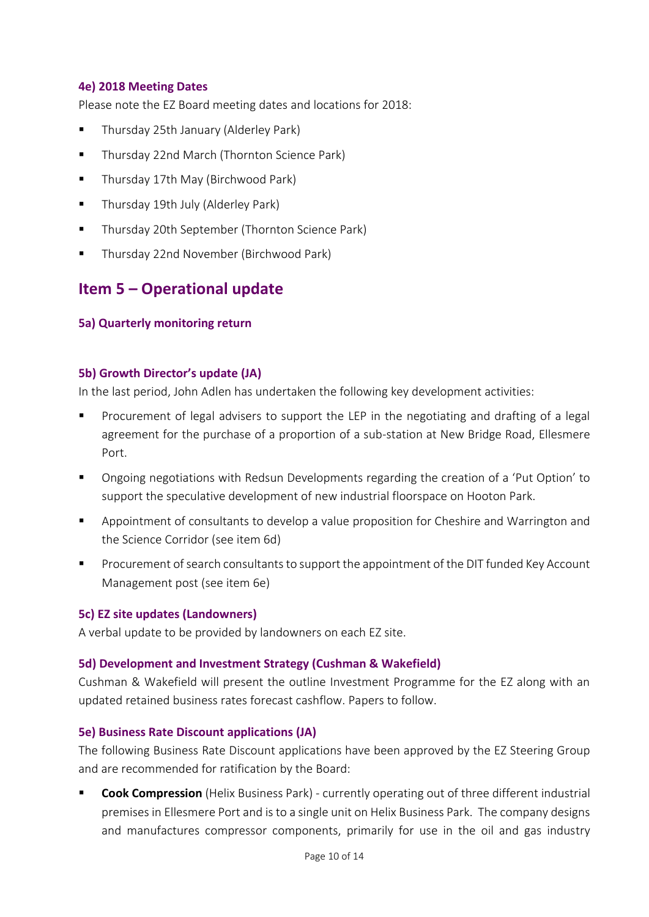## **4e) 2018 Meeting Dates**

Please note the EZ Board meeting dates and locations for 2018:

- Thursday 25th January (Alderley Park)
- Thursday 22nd March (Thornton Science Park)
- Thursday 17th May (Birchwood Park)
- Thursday 19th July (Alderley Park)
- Thursday 20th September (Thornton Science Park)
- Thursday 22nd November (Birchwood Park)

# **Item 5 – Operational update**

#### **5a) Quarterly monitoring return**

#### **5b) Growth Director's update (JA)**

In the last period, John Adlen has undertaken the following key development activities:

- Procurement of legal advisers to support the LEP in the negotiating and drafting of a legal agreement for the purchase of a proportion of a sub-station at New Bridge Road, Ellesmere Port.
- Ongoing negotiations with Redsun Developments regarding the creation of a 'Put Option' to support the speculative development of new industrial floorspace on Hooton Park.
- Appointment of consultants to develop a value proposition for Cheshire and Warrington and the Science Corridor (see item 6d)
- Procurement of search consultants to support the appointment of the DIT funded Key Account Management post (see item 6e)

## **5c) EZ site updates (Landowners)**

A verbal update to be provided by landowners on each EZ site.

#### **5d) Development and Investment Strategy (Cushman & Wakefield)**

Cushman & Wakefield will present the outline Investment Programme for the EZ along with an updated retained business rates forecast cashflow. Papers to follow.

#### **5e) Business Rate Discount applications (JA)**

The following Business Rate Discount applications have been approved by the EZ Steering Group and are recommended for ratification by the Board:

▪ **Cook Compression** (Helix Business Park) - currently operating out of three different industrial premises in Ellesmere Port and is to a single unit on Helix Business Park. The company designs and manufactures compressor components, primarily for use in the oil and gas industry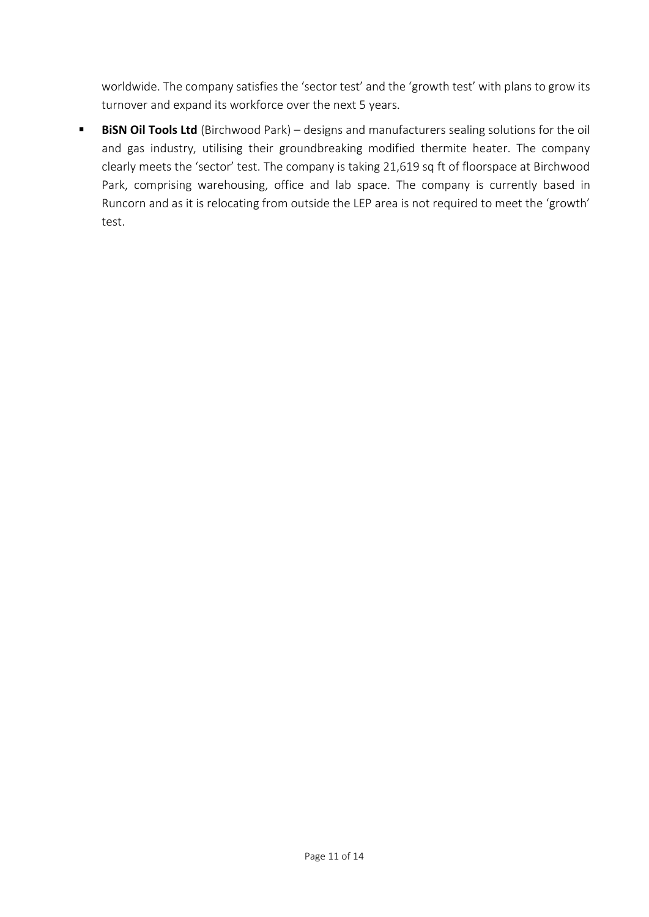worldwide. The company satisfies the 'sector test' and the 'growth test' with plans to grow its turnover and expand its workforce over the next 5 years.

**BISN OII Tools Ltd** (Birchwood Park) – designs and manufacturers sealing solutions for the oil and gas industry, utilising their groundbreaking modified thermite heater. The company clearly meets the 'sector' test. The company is taking 21,619 sq ft of floorspace at Birchwood Park, comprising warehousing, office and lab space. The company is currently based in Runcorn and as it is relocating from outside the LEP area is not required to meet the 'growth' test.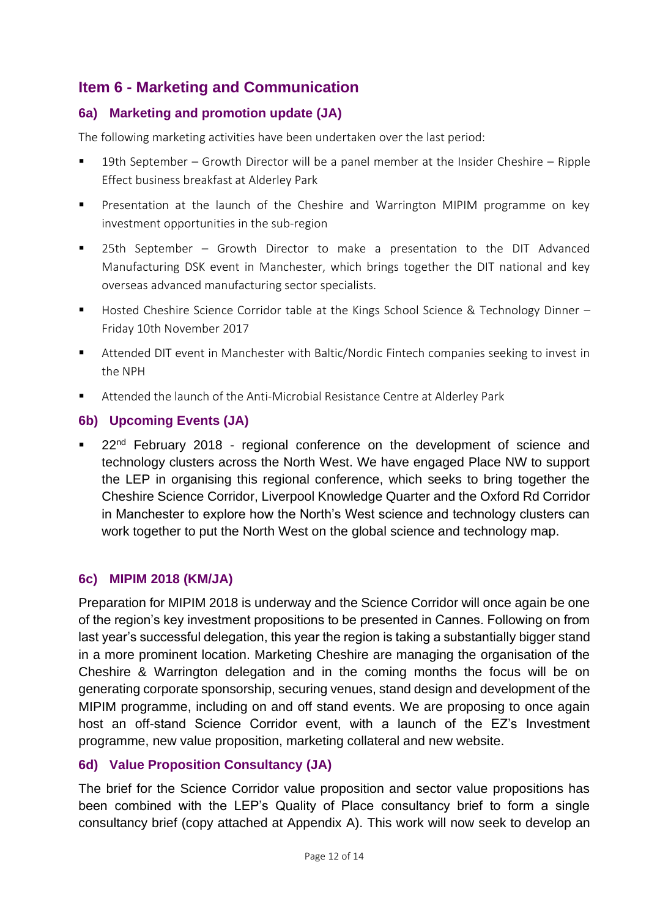# **Item 6 - Marketing and Communication**

# **6a) Marketing and promotion update (JA)**

The following marketing activities have been undertaken over the last period:

- 19th September Growth Director will be a panel member at the Insider Cheshire Ripple Effect business breakfast at Alderley Park
- Presentation at the launch of the Cheshire and Warrington MIPIM programme on key investment opportunities in the sub-region
- 25th September Growth Director to make a presentation to the DIT Advanced Manufacturing DSK event in Manchester, which brings together the DIT national and key overseas advanced manufacturing sector specialists.
- Hosted Cheshire Science Corridor table at the Kings School Science & Technology Dinner Friday 10th November 2017
- Attended DIT event in Manchester with Baltic/Nordic Fintech companies seeking to invest in the NPH
- Attended the launch of the Anti-Microbial Resistance Centre at Alderley Park

# **6b) Upcoming Events (JA)**

■ 22<sup>nd</sup> February 2018 - regional conference on the development of science and technology clusters across the North West. We have engaged Place NW to support the LEP in organising this regional conference, which seeks to bring together the Cheshire Science Corridor, Liverpool Knowledge Quarter and the Oxford Rd Corridor in Manchester to explore how the North's West science and technology clusters can work together to put the North West on the global science and technology map.

# **6c) MIPIM 2018 (KM/JA)**

Preparation for MIPIM 2018 is underway and the Science Corridor will once again be one of the region's key investment propositions to be presented in Cannes. Following on from last year's successful delegation, this year the region is taking a substantially bigger stand in a more prominent location. Marketing Cheshire are managing the organisation of the Cheshire & Warrington delegation and in the coming months the focus will be on generating corporate sponsorship, securing venues, stand design and development of the MIPIM programme, including on and off stand events. We are proposing to once again host an off-stand Science Corridor event, with a launch of the EZ's Investment programme, new value proposition, marketing collateral and new website.

# **6d) Value Proposition Consultancy (JA)**

The brief for the Science Corridor value proposition and sector value propositions has been combined with the LEP's Quality of Place consultancy brief to form a single consultancy brief (copy attached at Appendix A). This work will now seek to develop an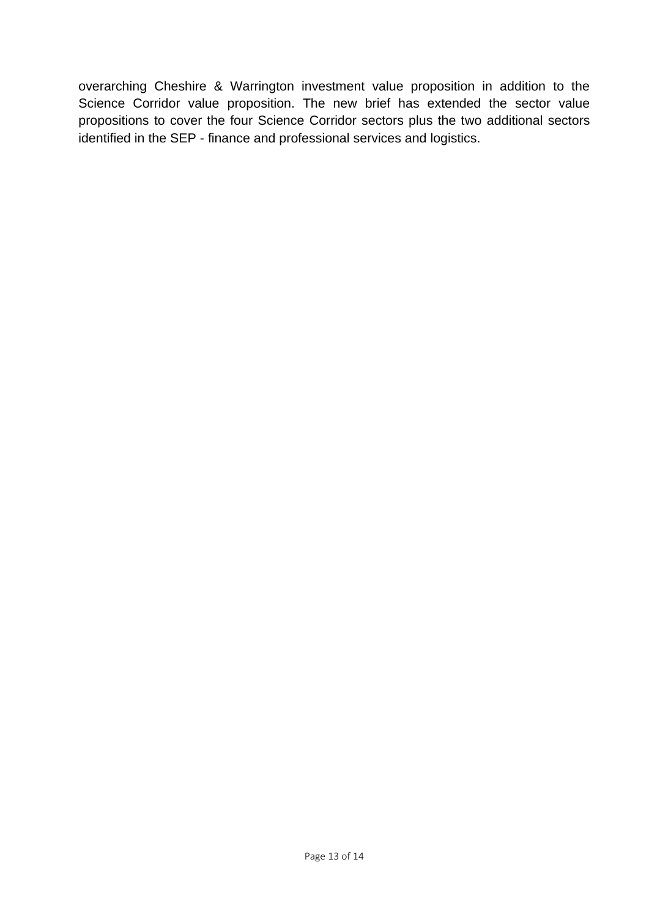overarching Cheshire & Warrington investment value proposition in addition to the Science Corridor value proposition. The new brief has extended the sector value propositions to cover the four Science Corridor sectors plus the two additional sectors identified in the SEP - finance and professional services and logistics.